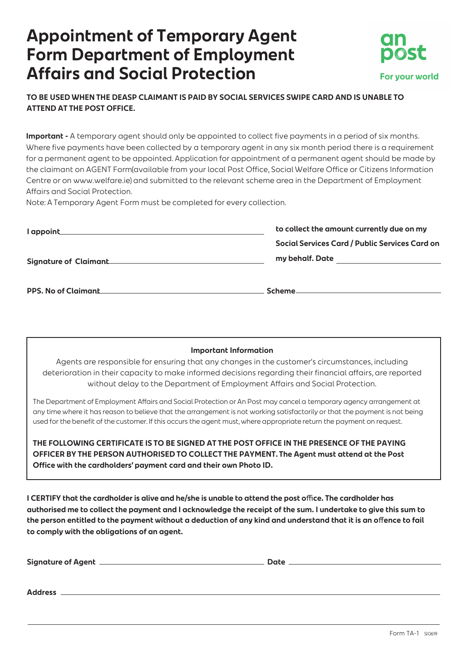## **Appointment of Temporary Agent Form Department of Employment Affairs and Social Protection**



### **TO BE USED WHEN THE DEASP CLAIMANT IS PAID BY SOCIAL SERVICES SWIPE CARD AND IS UNABLE TO ATTEND AT THE POST OFFICE.**

**Important -** A temporary agent should only be appointed to collect five payments in a period of six months.<br>Where five payments have been collected by a temporary agent in any six month period there is a requirement<br>for a

| l appoint                    | to collect the amount currently due on my      |
|------------------------------|------------------------------------------------|
|                              | Social Services Card / Public Services Card on |
| <b>Signature of Claimant</b> | my behalf. Date                                |
| <b>PPS. No of Claimant</b>   | Scheme                                         |

#### **Important Information**

Agents are responsible for ensuring that any changes in the customer's circumstances, including<br>deterioration in their capacity to make informed decisions regarding their financial affairs, are reported<br>without delay to th

The Department of Employment Affairs and Social Protection or An Post may cancel a temporary agency arrangement at<br>any time where it has reason to believe that the arrangement is not working satisfactorily or that the paym

THE FOLLOWING CERTIFICATE IS TO BE SIGNED AT THE POST OFFICE IN THE PRESENCE OF THE PAYING<br>OFFICER BY THE PERSON AUTHORISED TO COLLECT THE PAYMENT. The Agent must attend at the Post<br>Office with the cardholders' payment car

I CERTIFY that the cardholder is alive and he/she is unable to attend the post office. The cardholder has<br>authorised me to collect the payment and I acknowledge the receipt of the sum. I undertake to give this sum to<br>the p

**Address**